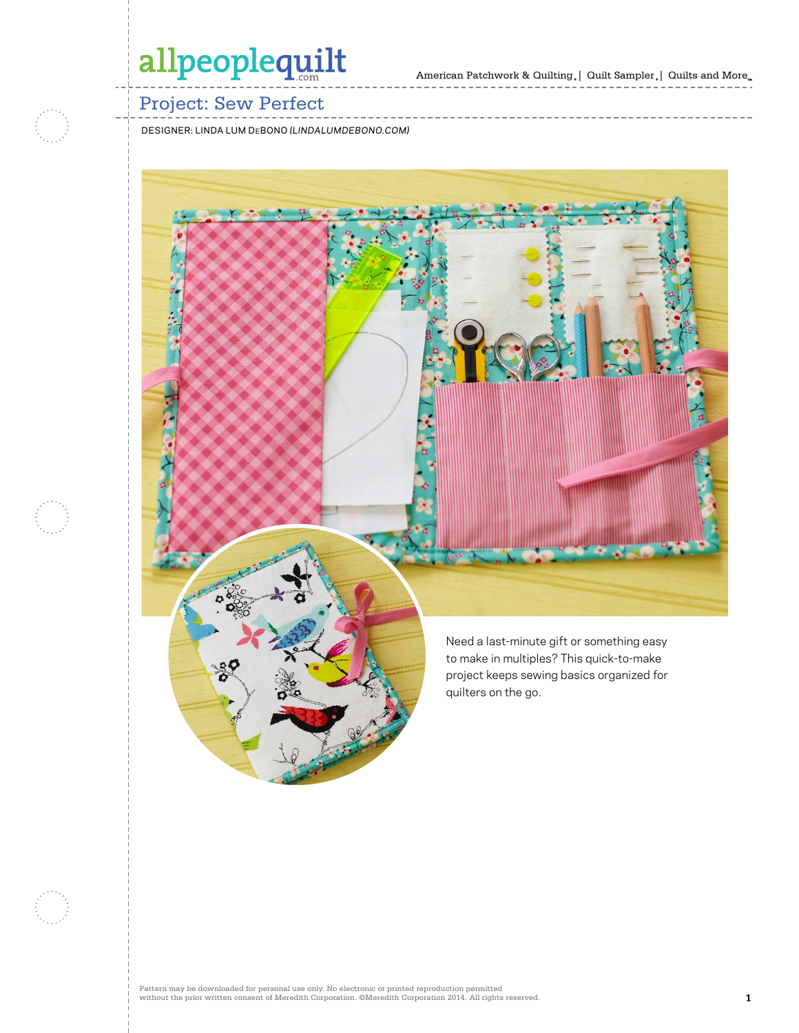# allpeoplequilt

## Project: Sew Perfect

designer: linda lum debono *(lindalumdebono.com)*

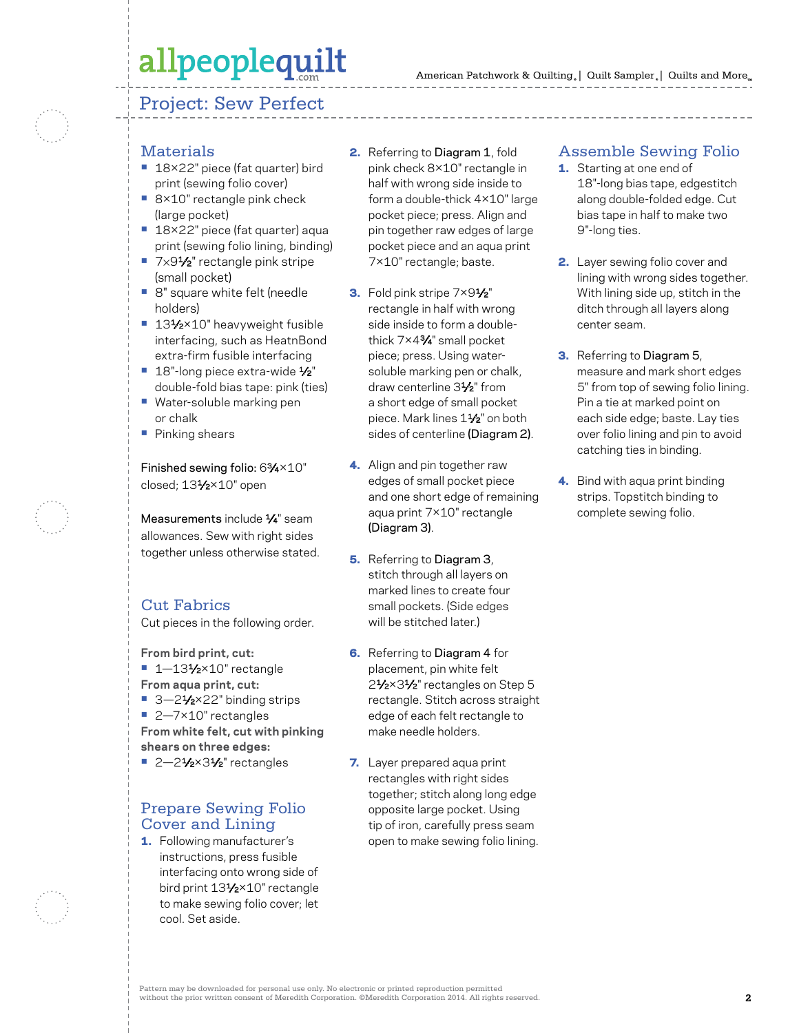# allpeoplequilt

#### Project: Sew Perfect



### **Materials**

- **•** 18×22" piece (fat quarter) bird print (sewing folio cover)
- **•** 8×10" rectangle pink check (large pocket)
- **•** 18×22" piece (fat quarter) aqua print (sewing folio lining, binding)
- **•** 7×91⁄2" rectangle pink stripe (small pocket)
- **•** 8" square white felt (needle holders)
- 131⁄2×10" heavyweight fusible interfacing, such as HeatnBond extra-firm fusible interfacing
- 18"-long piece extra-wide 1⁄2" double-fold bias tape: pink (ties)
- **•** Water-soluble marking pen or chalk
- **•** Pinking shears

Finished sewing folio: 63⁄4×10" closed; 131/2×10" open

Measurements include  $\frac{1}{4}$ " seam allowances. Sew with right sides together unless otherwise stated.

## Cut Fabrics

Cut pieces in the following order.

**From bird print, cut:**

- **•** 1—131⁄2×10" rectangle
- **From aqua print, cut:**
- 3-2<sup>1</sup>⁄<sub>2</sub>×22" binding strips
- **•** 2—7×10" rectangles **From white felt, cut with pinking shears on three edges:**
- 2-21⁄2×31⁄2" rectangles

### Prepare Sewing Folio Cover and Lining

1. Following manufacturer's instructions, press fusible interfacing onto wrong side of bird print 131/2×10" rectangle to make sewing folio cover; let cool. Set aside.

- 2. Referring to Diagram 1, fold pink check 8×10" rectangle in half with wrong side inside to form a double-thick 4×10" large pocket piece; press. Align and pin together raw edges of large pocket piece and an aqua print 7×10" rectangle; baste.
- 3. Fold pink stripe 7×91/<sub>2</sub>" rectangle in half with wrong side inside to form a doublethick 7×43⁄4" small pocket piece; press. Using watersoluble marking pen or chalk, draw centerline 31⁄2" from a short edge of small pocket piece. Mark lines 11⁄2" on both sides of centerline (Diagram 2).
- 4. Align and pin together raw edges of small pocket piece and one short edge of remaining aqua print 7×10" rectangle (Diagram 3).
- **5.** Referring to Diagram 3, stitch through all layers on marked lines to create four small pockets. (Side edges will be stitched later.)
- **6.** Referring to Diagram 4 for placement, pin white felt 2<sup>1</sup>/<sub>2</sub>×3<sup>1</sup>/<sub>2</sub>" rectangles on Step 5 rectangle. Stitch across straight edge of each felt rectangle to make needle holders.
- 7. Layer prepared aqua print rectangles with right sides together; stitch along long edge opposite large pocket. Using tip of iron, carefully press seam open to make sewing folio lining.

### Assemble Sewing Folio

- **1.** Starting at one end of 18"-long bias tape, edgestitch along double-folded edge. Cut bias tape in half to make two 9"-long ties.
- 2. Layer sewing folio cover and lining with wrong sides together. With lining side up, stitch in the ditch through all layers along center seam.
- 3. Referring to Diagram 5, measure and mark short edges 5" from top of sewing folio lining. Pin a tie at marked point on each side edge; baste. Lay ties over folio lining and pin to avoid catching ties in binding.
- 4. Bind with aqua print binding strips. Topstitch binding to complete sewing folio.